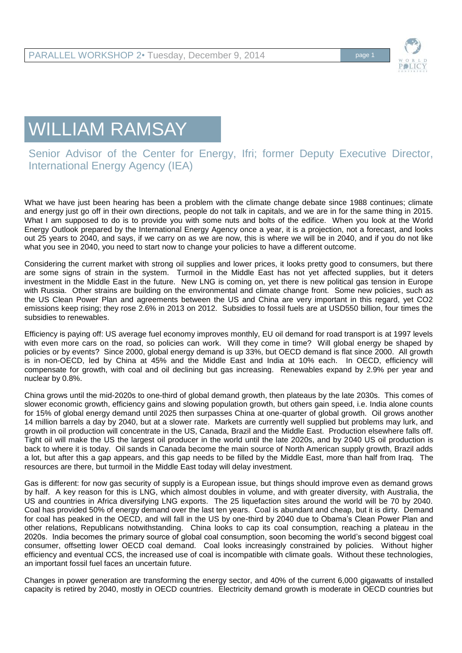

## WILLIAM RAMSAY

## Senior Advisor of the Center for Energy, Ifri; former Deputy Executive Director, International Energy Agency (IEA)

What we have just been hearing has been a problem with the climate change debate since 1988 continues; climate and energy just go off in their own directions, people do not talk in capitals, and we are in for the same thing in 2015. What I am supposed to do is to provide you with some nuts and bolts of the edifice. When you look at the World Energy Outlook prepared by the International Energy Agency once a year, it is a projection, not a forecast, and looks out 25 years to 2040, and says, if we carry on as we are now, this is where we will be in 2040, and if you do not like what you see in 2040, you need to start now to change your policies to have a different outcome.

Considering the current market with strong oil supplies and lower prices, it looks pretty good to consumers, but there are some signs of strain in the system. Turmoil in the Middle East has not yet affected supplies, but it deters investment in the Middle East in the future. New LNG is coming on, yet there is new political gas tension in Europe with Russia. Other strains are building on the environmental and climate change front. Some new policies, such as the US Clean Power Plan and agreements between the US and China are very important in this regard, yet CO2 emissions keep rising; they rose 2.6% in 2013 on 2012. Subsidies to fossil fuels are at USD550 billion, four times the subsidies to renewables.

Efficiency is paying off: US average fuel economy improves monthly, EU oil demand for road transport is at 1997 levels with even more cars on the road, so policies can work. Will they come in time? Will global energy be shaped by policies or by events? Since 2000, global energy demand is up 33%, but OECD demand is flat since 2000. All growth is in non-OECD, led by China at 45% and the Middle East and India at 10% each. In OECD, efficiency will compensate for growth, with coal and oil declining but gas increasing. Renewables expand by 2.9% per year and nuclear by 0.8%.

China grows until the mid-2020s to one-third of global demand growth, then plateaus by the late 2030s. This comes of slower economic growth, efficiency gains and slowing population growth, but others gain speed, i.e. India alone counts for 15% of global energy demand until 2025 then surpasses China at one-quarter of global growth. Oil grows another 14 million barrels a day by 2040, but at a slower rate. Markets are currently well supplied but problems may lurk, and growth in oil production will concentrate in the US, Canada, Brazil and the Middle East. Production elsewhere falls off. Tight oil will make the US the largest oil producer in the world until the late 2020s, and by 2040 US oil production is back to where it is today. Oil sands in Canada become the main source of North American supply growth, Brazil adds a lot, but after this a gap appears, and this gap needs to be filled by the Middle East, more than half from Iraq. The resources are there, but turmoil in the Middle East today will delay investment.

Gas is different: for now gas security of supply is a European issue, but things should improve even as demand grows by half. A key reason for this is LNG, which almost doubles in volume, and with greater diversity, with Australia, the US and countries in Africa diversifying LNG exports. The 25 liquefaction sites around the world will be 70 by 2040. Coal has provided 50% of energy demand over the last ten years. Coal is abundant and cheap, but it is dirty. Demand for coal has peaked in the OECD, and will fall in the US by one-third by 2040 due to Obama's Clean Power Plan and other relations, Republicans notwithstanding. China looks to cap its coal consumption, reaching a plateau in the 2020s. India becomes the primary source of global coal consumption, soon becoming the world's second biggest coal consumer, offsetting lower OECD coal demand. Coal looks increasingly constrained by policies. Without higher efficiency and eventual CCS, the increased use of coal is incompatible with climate goals. Without these technologies, an important fossil fuel faces an uncertain future.

Changes in power generation are transforming the energy sector, and 40% of the current 6,000 gigawatts of installed capacity is retired by 2040, mostly in OECD countries. Electricity demand growth is moderate in OECD countries but